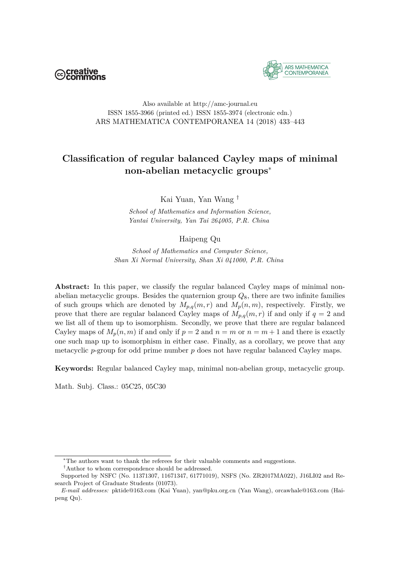



#### Also available at http://amc-journal.eu ISSN 1855-3966 (printed ed.) ISSN 1855-3974 (electronic edn.) ARS MATHEMATICA CONTEMPORANEA 14 (2018) 433–443

## **Classification of regular balanced Cayley maps of minimal non-abelian metacyclic groups**<sup>∗</sup>

Kai Yuan, Yan Wang †

*School of Mathematics and Information Science, Yantai University, Yan Tai 264005, P.R. China*

### Haipeng Qu

*School of Mathematics and Computer Science, Shan Xi Normal University, Shan Xi 041000, P.R. China*

Abstract: In this paper, we classify the regular balanced Cayley maps of minimal nonabelian metacyclic groups. Besides the quaternion group *Q*8, there are two infinite families of such groups which are denoted by  $M_{p,q}(m,r)$  and  $M_p(n,m)$ , respectively. Firstly, we prove that there are regular balanced Cayley maps of  $M_{p,q}(m,r)$  if and only if  $q=2$  and we list all of them up to isomorphism. Secondly, we prove that there are regular balanced Cayley maps of  $M_p(n,m)$  if and only if  $p = 2$  and  $n = m$  or  $n = m + 1$  and there is exactly one such map up to isomorphism in either case. Finally, as a corollary, we prove that any metacyclic *p*-group for odd prime number *p* does not have regular balanced Cayley maps.

**Keywords:** Regular balanced Cayley map, minimal non-abelian group, metacyclic group.

Math. Subj. Class.: 05C25, 05C30

<sup>∗</sup>The authors want to thank the referees for their valuable comments and suggestions.

<sup>†</sup>Author to whom correspondence should be addressed.

Supported by NSFC (No. 11371307, 11671347, 61771019), NSFS (No. ZR2017MA022), J16LI02 and Research Project of Graduate Students (01073).

*E-mail addresses:* pktide@163.com (Kai Yuan), yan@pku.org.cn (Yan Wang), orcawhale@163.com (Haipeng Qu).